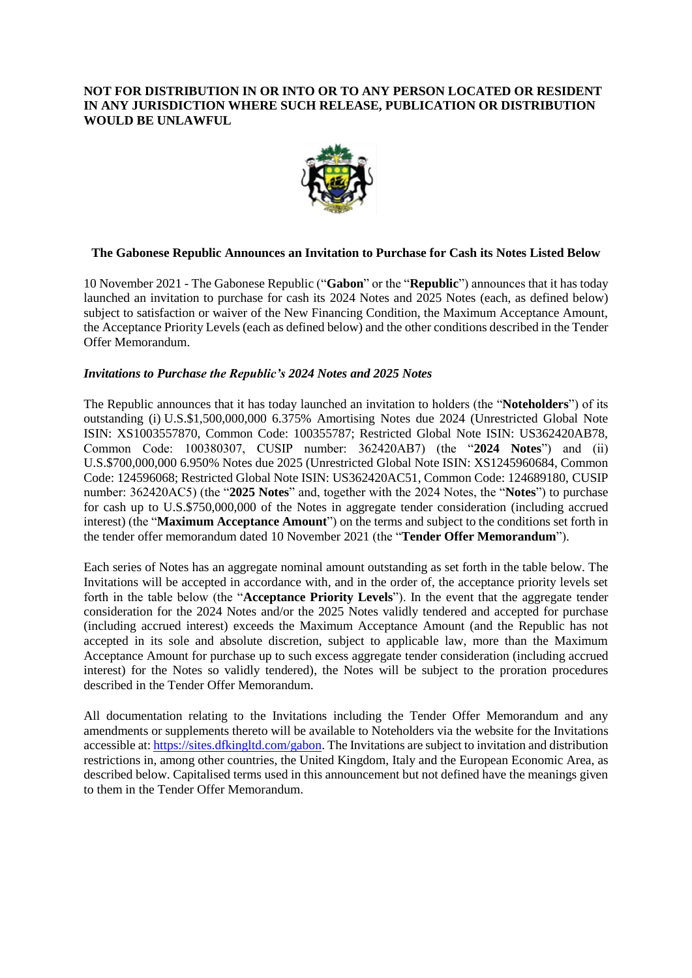### **NOT FOR DISTRIBUTION IN OR INTO OR TO ANY PERSON LOCATED OR RESIDENT IN ANY JURISDICTION WHERE SUCH RELEASE, PUBLICATION OR DISTRIBUTION WOULD BE UNLAWFUL**



## **The Gabonese Republic Announces an Invitation to Purchase for Cash its Notes Listed Below**

10 November 2021 - The Gabonese Republic ("**Gabon**" or the "**Republic**") announces that it has today launched an invitation to purchase for cash its 2024 Notes and 2025 Notes (each, as defined below) subject to satisfaction or waiver of the New Financing Condition, the Maximum Acceptance Amount, the Acceptance Priority Levels (each as defined below) and the other conditions described in the Tender Offer Memorandum.

### *Invitations to Purchase the Republic's 2024 Notes and 2025 Notes*

The Republic announces that it has today launched an invitation to holders (the "**Noteholders**") of its outstanding (i) U.S.\$1,500,000,000 6.375% Amortising Notes due 2024 (Unrestricted Global Note ISIN: XS1003557870, Common Code: 100355787; Restricted Global Note ISIN: US362420AB78, Common Code: 100380307, CUSIP number: 362420AB7) (the "**2024 Notes**") and (ii) U.S.\$700,000,000 6.950% Notes due 2025 (Unrestricted Global Note ISIN: XS1245960684, Common Code: 124596068; Restricted Global Note ISIN: US362420AC51, Common Code: 124689180, CUSIP number: 362420AC5) (the "**2025 Notes**" and, together with the 2024 Notes, the "**Notes**") to purchase for cash up to U.S.\$750,000,000 of the Notes in aggregate tender consideration (including accrued interest) (the "**Maximum Acceptance Amount**") on the terms and subject to the conditions set forth in the tender offer memorandum dated 10 November 2021 (the "**Tender Offer Memorandum**").

Each series of Notes has an aggregate nominal amount outstanding as set forth in the table below. The Invitations will be accepted in accordance with, and in the order of, the acceptance priority levels set forth in the table below (the "**Acceptance Priority Levels**"). In the event that the aggregate tender consideration for the 2024 Notes and/or the 2025 Notes validly tendered and accepted for purchase (including accrued interest) exceeds the Maximum Acceptance Amount (and the Republic has not accepted in its sole and absolute discretion, subject to applicable law, more than the Maximum Acceptance Amount for purchase up to such excess aggregate tender consideration (including accrued interest) for the Notes so validly tendered), the Notes will be subject to the proration procedures described in the Tender Offer Memorandum.

All documentation relating to the Invitations including the Tender Offer Memorandum and any amendments or supplements thereto will be available to Noteholders via the website for the Invitations accessible at: [https://sites.dfkingltd.com/gabon.](https://sites.dfkingltd.com/gabon) The Invitations are subject to invitation and distribution restrictions in, among other countries, the United Kingdom, Italy and the European Economic Area, as described below. Capitalised terms used in this announcement but not defined have the meanings given to them in the Tender Offer Memorandum.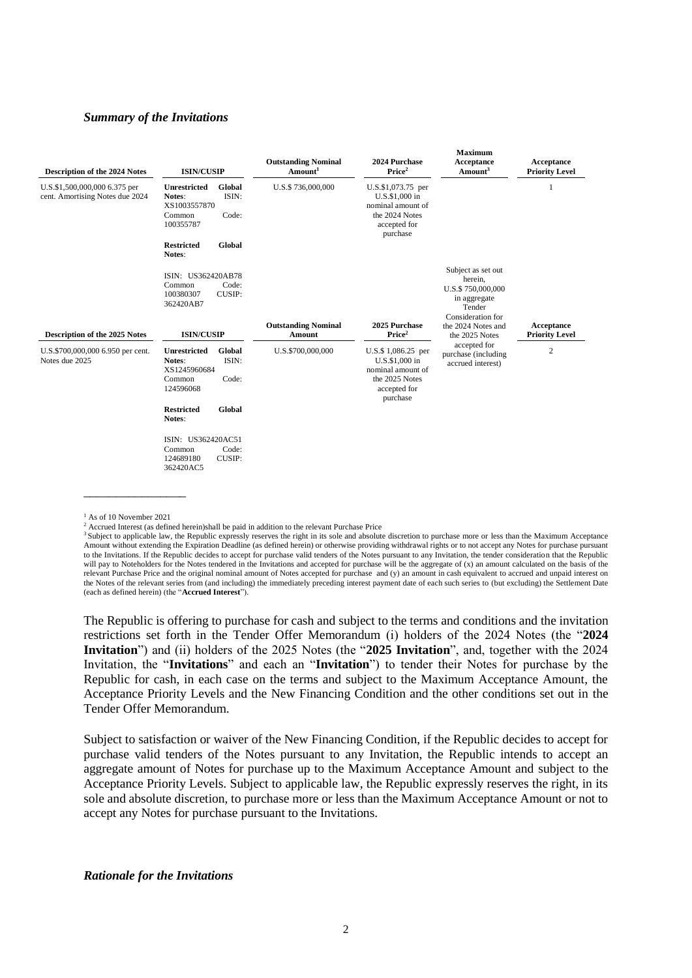#### *Summary of the Invitations*

| <b>Description of the 2024 Notes</b>                             | <b>ISIN/CUSIP</b>                                                                                | <b>Outstanding Nominal</b><br>Amount <sup>1</sup> | 2024 Purchase<br>Price <sup>2</sup>                                                                      | <b>Maximum</b><br>Acceptance<br>Amount <sup>3</sup>                                               | Acceptance<br><b>Priority Level</b> |
|------------------------------------------------------------------|--------------------------------------------------------------------------------------------------|---------------------------------------------------|----------------------------------------------------------------------------------------------------------|---------------------------------------------------------------------------------------------------|-------------------------------------|
| U.S.\$1,500,000,000 6.375 per<br>cent. Amortising Notes due 2024 | <b>Unrestricted</b><br>Global<br>ISIN:<br>Notes:<br>XS1003557870<br>Code:<br>Common<br>100355787 | U.S.\$736,000,000                                 | U.S.\$1,073.75 per<br>U.S.\$1,000 in<br>nominal amount of<br>the 2024 Notes<br>accepted for<br>purchase  |                                                                                                   |                                     |
|                                                                  | Global<br><b>Restricted</b><br>Notes:                                                            |                                                   |                                                                                                          |                                                                                                   |                                     |
|                                                                  | ISIN: US362420AB78<br>Common<br>Code:<br>CUSIP:<br>100380307<br>362420AB7                        |                                                   |                                                                                                          | Subject as set out<br>herein,<br>U.S.\$750,000,000<br>in aggregate<br>Tender<br>Consideration for |                                     |
| Description of the 2025 Notes                                    | <b>ISIN/CUSIP</b>                                                                                | <b>Outstanding Nominal</b><br>Amount              | 2025 Purchase<br>Price <sup>2</sup>                                                                      | the 2024 Notes and<br>the 2025 Notes                                                              | Acceptance<br><b>Priority Level</b> |
| U.S.\$700,000,000 6.950 per cent.<br>Notes due 2025              | <b>Unrestricted</b><br>Global<br>ISIN:<br>Notes:<br>XS1245960684<br>Code:<br>Common<br>124596068 | U.S.\$700,000,000                                 | U.S.\$ 1,086.25 per<br>U.S.\$1,000 in<br>nominal amount of<br>the 2025 Notes<br>accepted for<br>purchase | accepted for<br>purchase (including<br>accrued interest)                                          | $\overline{2}$                      |
|                                                                  | <b>Restricted</b><br>Global<br>Notes:                                                            |                                                   |                                                                                                          |                                                                                                   |                                     |
|                                                                  | ISIN: US362420AC51<br>Code:<br>Common<br>CUSIP:<br>124689180<br>362420AC5                        |                                                   |                                                                                                          |                                                                                                   |                                     |

 $<sup>1</sup>$  As of 10 November 2021</sup>

\_\_\_\_\_\_\_\_\_\_\_\_\_\_\_\_

The Republic is offering to purchase for cash and subject to the terms and conditions and the invitation restrictions set forth in the Tender Offer Memorandum (i) holders of the 2024 Notes (the "**2024 Invitation**") and (ii) holders of the 2025 Notes (the "**2025 Invitation**", and, together with the 2024 Invitation, the "**Invitations**" and each an "**Invitation**") to tender their Notes for purchase by the Republic for cash, in each case on the terms and subject to the Maximum Acceptance Amount, the Acceptance Priority Levels and the New Financing Condition and the other conditions set out in the Tender Offer Memorandum.

Subject to satisfaction or waiver of the New Financing Condition, if the Republic decides to accept for purchase valid tenders of the Notes pursuant to any Invitation, the Republic intends to accept an aggregate amount of Notes for purchase up to the Maximum Acceptance Amount and subject to the Acceptance Priority Levels. Subject to applicable law, the Republic expressly reserves the right, in its sole and absolute discretion, to purchase more or less than the Maximum Acceptance Amount or not to accept any Notes for purchase pursuant to the Invitations.

### *Rationale for the Invitations*

<sup>2</sup> Accrued Interest (as defined herein)shall be paid in addition to the relevant Purchase Price

<sup>&</sup>lt;sup>3</sup> Subject to applicable law, the Republic expressly reserves the right in its sole and absolute discretion to purchase more or less than the Maximum Acceptance Amount without extending the Expiration Deadline (as defined herein) or otherwise providing withdrawal rights or to not accept any Notes for purchase pursuant to the Invitations. If the Republic decides to accept for purchase valid tenders of the Notes pursuant to any Invitation, the tender consideration that the Republic will pay to Noteholders for the Notes tendered in the Invitations and accepted for purchase will be the aggregate of (x) an amount calculated on the basis of the relevant Purchase Price and the original nominal amount of Notes accepted for purchase and (y) an amount in cash equivalent to accrued and unpaid interest on the Notes of the relevant series from (and including) the immediately preceding interest payment date of each such series to (but excluding) the Settlement Date (each as defined herein) (the "**Accrued Interest**").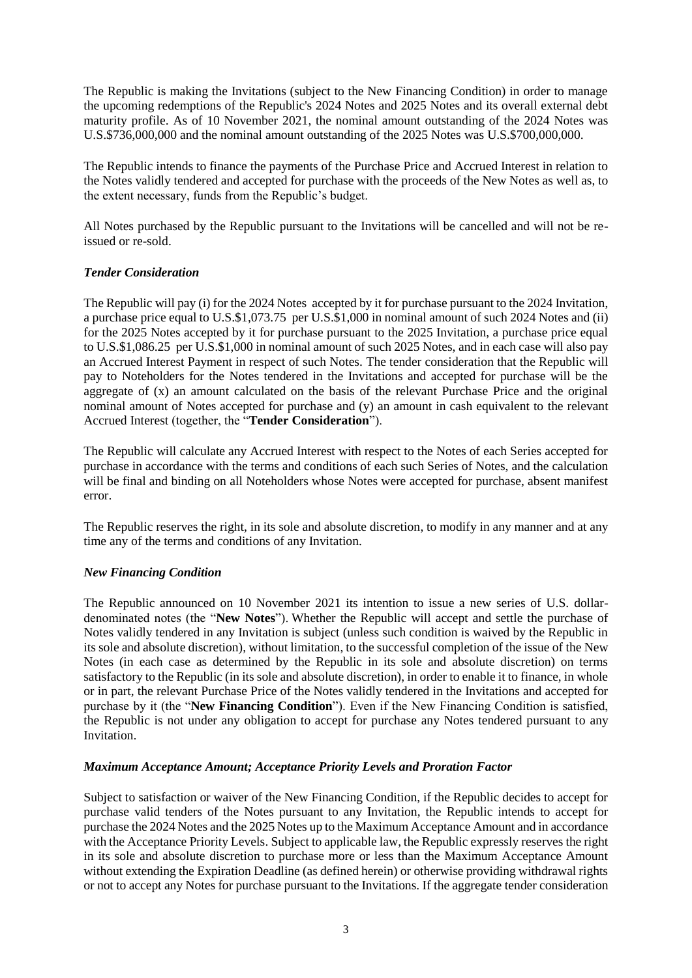The Republic is making the Invitations (subject to the New Financing Condition) in order to manage the upcoming redemptions of the Republic's 2024 Notes and 2025 Notes and its overall external debt maturity profile. As of 10 November 2021, the nominal amount outstanding of the 2024 Notes was U.S.\$736,000,000 and the nominal amount outstanding of the 2025 Notes was U.S.\$700,000,000.

The Republic intends to finance the payments of the Purchase Price and Accrued Interest in relation to the Notes validly tendered and accepted for purchase with the proceeds of the New Notes as well as, to the extent necessary, funds from the Republic's budget.

All Notes purchased by the Republic pursuant to the Invitations will be cancelled and will not be reissued or re-sold.

## *Tender Consideration*

The Republic will pay (i) for the 2024 Notes accepted by it for purchase pursuant to the 2024 Invitation, a purchase price equal to U.S.\$1,073.75 per U.S.\$1,000 in nominal amount of such 2024 Notes and (ii) for the 2025 Notes accepted by it for purchase pursuant to the 2025 Invitation, a purchase price equal to U.S.\$1,086.25 per U.S.\$1,000 in nominal amount of such 2025 Notes, and in each case will also pay an Accrued Interest Payment in respect of such Notes. The tender consideration that the Republic will pay to Noteholders for the Notes tendered in the Invitations and accepted for purchase will be the aggregate of (x) an amount calculated on the basis of the relevant Purchase Price and the original nominal amount of Notes accepted for purchase and (y) an amount in cash equivalent to the relevant Accrued Interest (together, the "**Tender Consideration**").

The Republic will calculate any Accrued Interest with respect to the Notes of each Series accepted for purchase in accordance with the terms and conditions of each such Series of Notes, and the calculation will be final and binding on all Noteholders whose Notes were accepted for purchase, absent manifest error.

The Republic reserves the right, in its sole and absolute discretion, to modify in any manner and at any time any of the terms and conditions of any Invitation.

### *New Financing Condition*

The Republic announced on 10 November 2021 its intention to issue a new series of U.S. dollardenominated notes (the "**New Notes**"). Whether the Republic will accept and settle the purchase of Notes validly tendered in any Invitation is subject (unless such condition is waived by the Republic in its sole and absolute discretion), without limitation, to the successful completion of the issue of the New Notes (in each case as determined by the Republic in its sole and absolute discretion) on terms satisfactory to the Republic (in its sole and absolute discretion), in order to enable it to finance, in whole or in part, the relevant Purchase Price of the Notes validly tendered in the Invitations and accepted for purchase by it (the "**New Financing Condition**"). Even if the New Financing Condition is satisfied, the Republic is not under any obligation to accept for purchase any Notes tendered pursuant to any Invitation.

### *Maximum Acceptance Amount; Acceptance Priority Levels and Proration Factor*

Subject to satisfaction or waiver of the New Financing Condition, if the Republic decides to accept for purchase valid tenders of the Notes pursuant to any Invitation, the Republic intends to accept for purchase the 2024 Notes and the 2025 Notes up to the Maximum Acceptance Amount and in accordance with the Acceptance Priority Levels. Subject to applicable law, the Republic expressly reserves the right in its sole and absolute discretion to purchase more or less than the Maximum Acceptance Amount without extending the Expiration Deadline (as defined herein) or otherwise providing withdrawal rights or not to accept any Notes for purchase pursuant to the Invitations. If the aggregate tender consideration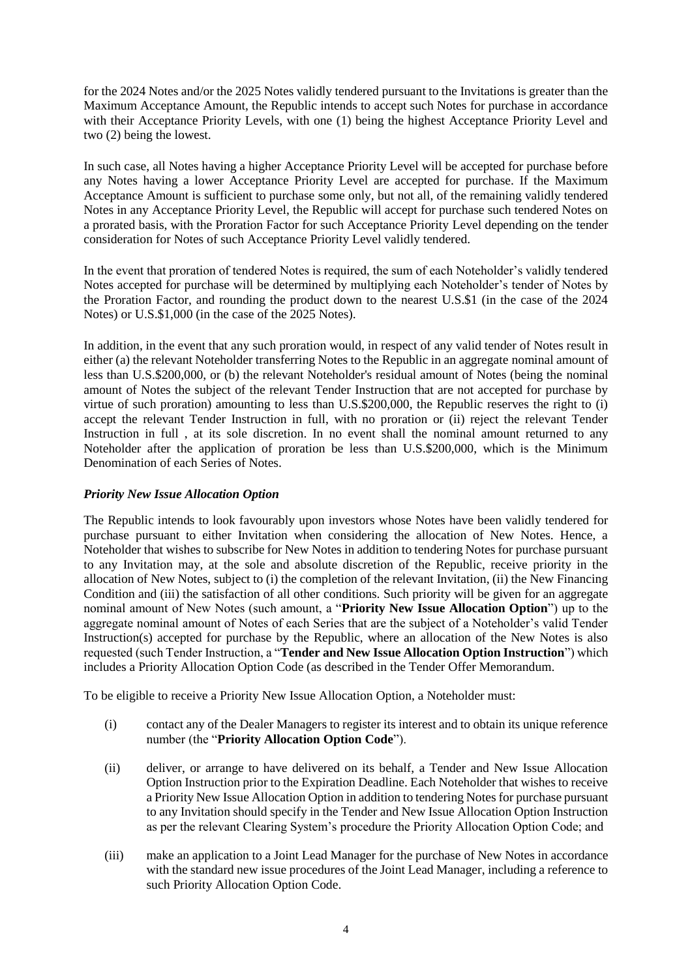for the 2024 Notes and/or the 2025 Notes validly tendered pursuant to the Invitations is greater than the Maximum Acceptance Amount, the Republic intends to accept such Notes for purchase in accordance with their Acceptance Priority Levels, with one (1) being the highest Acceptance Priority Level and two (2) being the lowest.

In such case, all Notes having a higher Acceptance Priority Level will be accepted for purchase before any Notes having a lower Acceptance Priority Level are accepted for purchase. If the Maximum Acceptance Amount is sufficient to purchase some only, but not all, of the remaining validly tendered Notes in any Acceptance Priority Level, the Republic will accept for purchase such tendered Notes on a prorated basis, with the Proration Factor for such Acceptance Priority Level depending on the tender consideration for Notes of such Acceptance Priority Level validly tendered.

In the event that proration of tendered Notes is required, the sum of each Noteholder's validly tendered Notes accepted for purchase will be determined by multiplying each Noteholder's tender of Notes by the Proration Factor, and rounding the product down to the nearest U.S.\$1 (in the case of the 2024 Notes) or U.S.\$1,000 (in the case of the 2025 Notes).

In addition, in the event that any such proration would, in respect of any valid tender of Notes result in either (a) the relevant Noteholder transferring Notes to the Republic in an aggregate nominal amount of less than U.S.\$200,000, or (b) the relevant Noteholder's residual amount of Notes (being the nominal amount of Notes the subject of the relevant Tender Instruction that are not accepted for purchase by virtue of such proration) amounting to less than U.S.\$200,000, the Republic reserves the right to (i) accept the relevant Tender Instruction in full, with no proration or (ii) reject the relevant Tender Instruction in full , at its sole discretion. In no event shall the nominal amount returned to any Noteholder after the application of proration be less than U.S.\$200,000, which is the Minimum Denomination of each Series of Notes.

## *Priority New Issue Allocation Option*

The Republic intends to look favourably upon investors whose Notes have been validly tendered for purchase pursuant to either Invitation when considering the allocation of New Notes. Hence, a Noteholder that wishes to subscribe for New Notes in addition to tendering Notes for purchase pursuant to any Invitation may, at the sole and absolute discretion of the Republic, receive priority in the allocation of New Notes, subject to (i) the completion of the relevant Invitation, (ii) the New Financing Condition and (iii) the satisfaction of all other conditions. Such priority will be given for an aggregate nominal amount of New Notes (such amount, a "**Priority New Issue Allocation Option**") up to the aggregate nominal amount of Notes of each Series that are the subject of a Noteholder's valid Tender Instruction(s) accepted for purchase by the Republic, where an allocation of the New Notes is also requested (such Tender Instruction, a "**Tender and New Issue Allocation Option Instruction**") which includes a Priority Allocation Option Code (as described in the Tender Offer Memorandum.

To be eligible to receive a Priority New Issue Allocation Option, a Noteholder must:

- (i) contact any of the Dealer Managers to register its interest and to obtain its unique reference number (the "**Priority Allocation Option Code**").
- (ii) deliver, or arrange to have delivered on its behalf, a Tender and New Issue Allocation Option Instruction prior to the Expiration Deadline. Each Noteholder that wishes to receive a Priority New Issue Allocation Option in addition to tendering Notes for purchase pursuant to any Invitation should specify in the Tender and New Issue Allocation Option Instruction as per the relevant Clearing System's procedure the Priority Allocation Option Code; and
- (iii) make an application to a Joint Lead Manager for the purchase of New Notes in accordance with the standard new issue procedures of the Joint Lead Manager, including a reference to such Priority Allocation Option Code.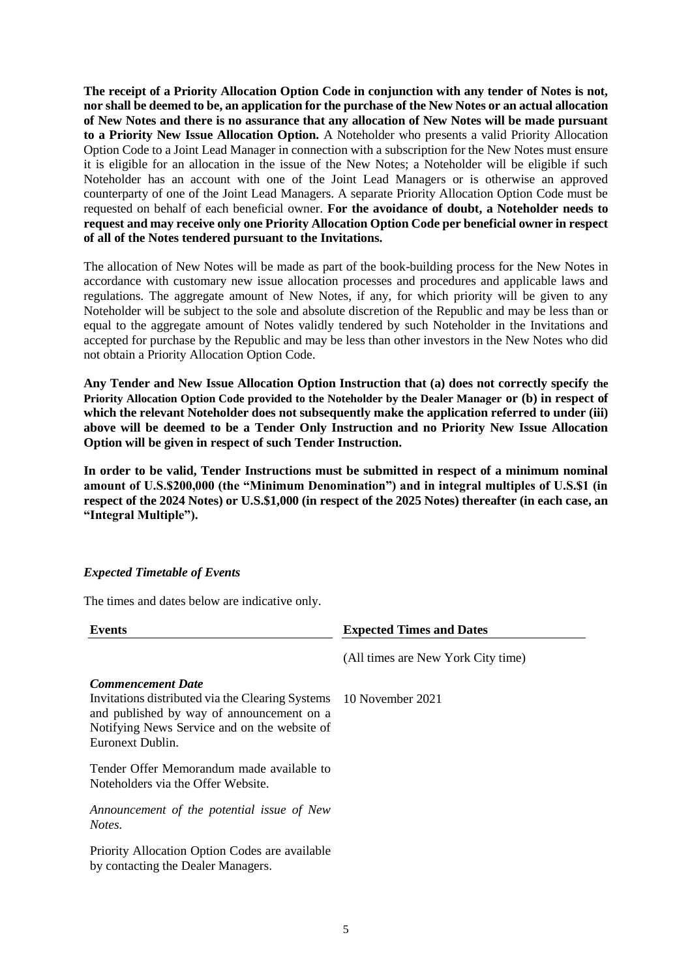**The receipt of a Priority Allocation Option Code in conjunction with any tender of Notes is not, nor shall be deemed to be, an application for the purchase of the New Notes or an actual allocation of New Notes and there is no assurance that any allocation of New Notes will be made pursuant to a Priority New Issue Allocation Option.** A Noteholder who presents a valid Priority Allocation Option Code to a Joint Lead Manager in connection with a subscription for the New Notes must ensure it is eligible for an allocation in the issue of the New Notes; a Noteholder will be eligible if such Noteholder has an account with one of the Joint Lead Managers or is otherwise an approved counterparty of one of the Joint Lead Managers. A separate Priority Allocation Option Code must be requested on behalf of each beneficial owner. **For the avoidance of doubt, a Noteholder needs to request and may receive only one Priority Allocation Option Code per beneficial owner in respect of all of the Notes tendered pursuant to the Invitations.**

The allocation of New Notes will be made as part of the book-building process for the New Notes in accordance with customary new issue allocation processes and procedures and applicable laws and regulations. The aggregate amount of New Notes, if any, for which priority will be given to any Noteholder will be subject to the sole and absolute discretion of the Republic and may be less than or equal to the aggregate amount of Notes validly tendered by such Noteholder in the Invitations and accepted for purchase by the Republic and may be less than other investors in the New Notes who did not obtain a Priority Allocation Option Code.

**Any Tender and New Issue Allocation Option Instruction that (a) does not correctly specify the Priority Allocation Option Code provided to the Noteholder by the Dealer Manager or (b) in respect of**  which the relevant Noteholder does not subsequently make the application referred to under (iii) **above will be deemed to be a Tender Only Instruction and no Priority New Issue Allocation Option will be given in respect of such Tender Instruction.**

**In order to be valid, Tender Instructions must be submitted in respect of a minimum nominal amount of U.S.\$200,000 (the "Minimum Denomination") and in integral multiples of U.S.\$1 (in respect of the 2024 Notes) or U.S.\$1,000 (in respect of the 2025 Notes) thereafter (in each case, an "Integral Multiple").**

### *Expected Timetable of Events*

The times and dates below are indicative only.

| <b>Events</b>                                                                                                                                                                                                  | <b>Expected Times and Dates</b>    |
|----------------------------------------------------------------------------------------------------------------------------------------------------------------------------------------------------------------|------------------------------------|
|                                                                                                                                                                                                                | (All times are New York City time) |
| <b>Commencement Date</b><br>Invitations distributed via the Clearing Systems 10 November 2021<br>and published by way of announcement on a<br>Notifying News Service and on the website of<br>Euronext Dublin. |                                    |
| Tender Offer Memorandum made available to<br>Noteholders via the Offer Website.                                                                                                                                |                                    |
| Announcement of the potential issue of New<br>Notes.                                                                                                                                                           |                                    |
| Priority Allocation Option Codes are available<br>by contacting the Dealer Managers.                                                                                                                           |                                    |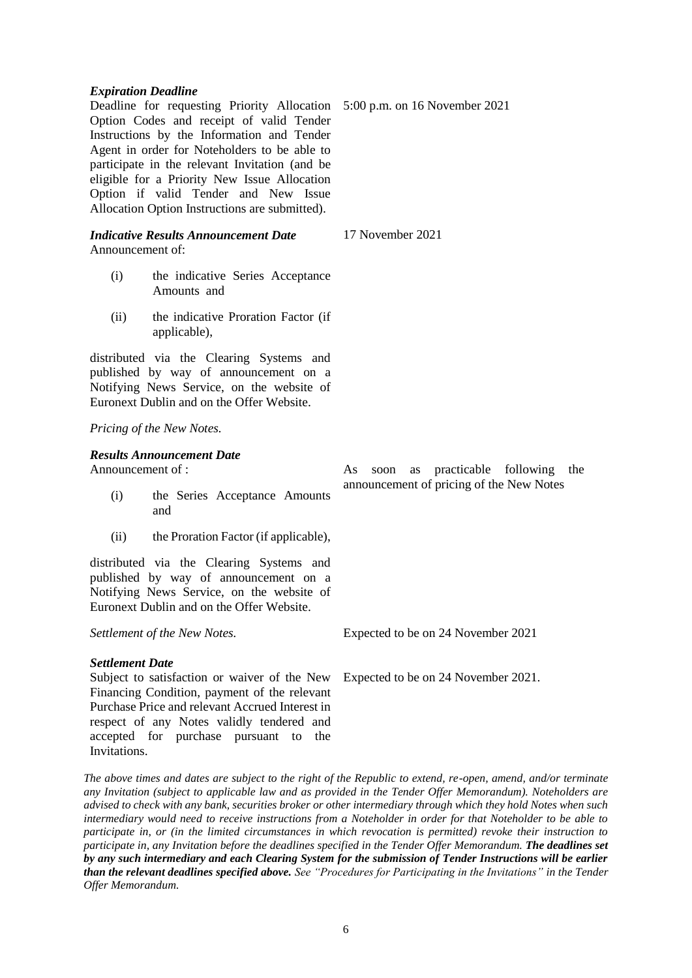*The above times and dates are subject to the right of the Republic to extend, re-open, amend, and/or terminate any Invitation (subject to applicable law and as provided in the Tender Offer Memorandum). Noteholders are advised to check with any bank, securities broker or other intermediary through which they hold Notes when such intermediary would need to receive instructions from a Noteholder in order for that Noteholder to be able to participate in, or (in the limited circumstances in which revocation is permitted) revoke their instruction to participate in, any Invitation before the deadlines specified in the Tender Offer Memorandum. The deadlines set by any such intermediary and each Clearing System for the submission of Tender Instructions will be earlier than the relevant deadlines specified above. See "Procedures for Participating in the Invitations" in the Tender* 

6

# *Expiration Deadline*

Deadline for requesting Priority Allocation 5:00 p.m. on 16 November 2021 Option Codes and receipt of valid Tender Instructions by the Information and Tender Agent in order for Noteholders to be able to participate in the relevant Invitation (and be eligible for a Priority New Issue Allocation Option if valid Tender and New Issue Allocation Option Instructions are submitted).

### *Indicative Results Announcement Date* Announcement of:

- (i) the indicative Series Acceptance Amounts and
- (ii) the indicative Proration Factor (if applicable),

distributed via the Clearing Systems and published by way of announcement on a Notifying News Service, on the website of Euronext Dublin and on the Offer Website.

## *Pricing of the New Notes.*

# *Results Announcement Date*

Announcement of :

- (i) the Series Acceptance Amounts and
- (ii) the Proration Factor (if applicable),

distributed via the Clearing Systems and published by way of announcement on a Notifying News Service, on the website of Euronext Dublin and on the Offer Website.

*Settlement of the New Notes.*

# *Settlement Date*

*Offer Memorandum.*

Subject to satisfaction or waiver of the New Expected to be on 24 November 2021. Financing Condition, payment of the relevant Purchase Price and relevant Accrued Interest in respect of any Notes validly tendered and accepted for purchase pursuant to the **Invitations** 

As soon as practicable following the announcement of pricing of the New Notes

Expected to be on 24 November 2021

17 November 2021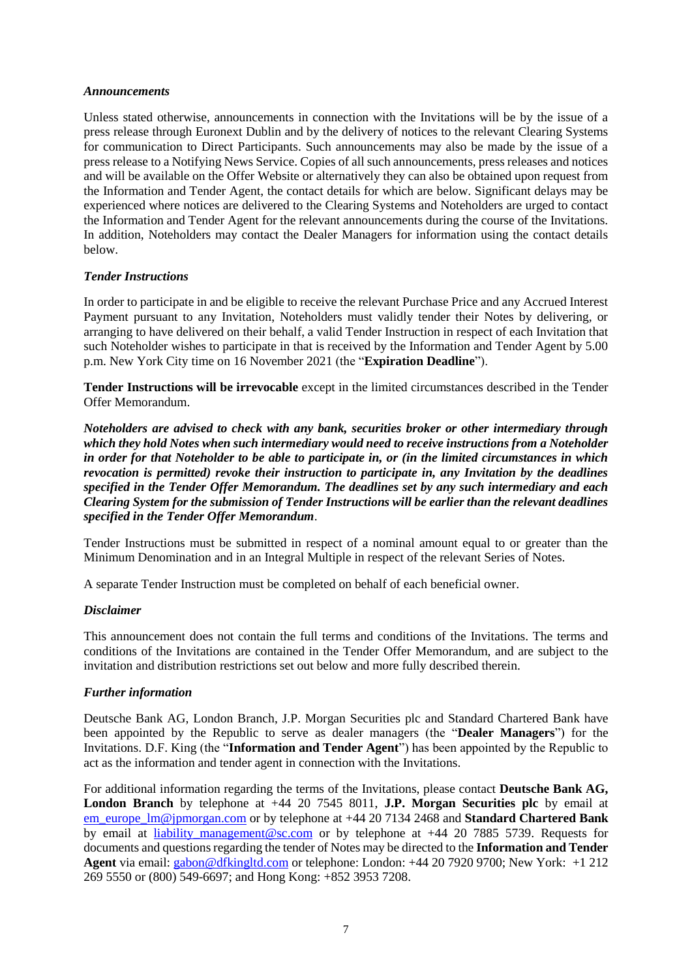### *Announcements*

Unless stated otherwise, announcements in connection with the Invitations will be by the issue of a press release through Euronext Dublin and by the delivery of notices to the relevant Clearing Systems for communication to Direct Participants. Such announcements may also be made by the issue of a press release to a Notifying News Service. Copies of all such announcements, press releases and notices and will be available on the Offer Website or alternatively they can also be obtained upon request from the Information and Tender Agent, the contact details for which are below. Significant delays may be experienced where notices are delivered to the Clearing Systems and Noteholders are urged to contact the Information and Tender Agent for the relevant announcements during the course of the Invitations. In addition, Noteholders may contact the Dealer Managers for information using the contact details below.

### *Tender Instructions*

In order to participate in and be eligible to receive the relevant Purchase Price and any Accrued Interest Payment pursuant to any Invitation, Noteholders must validly tender their Notes by delivering, or arranging to have delivered on their behalf, a valid Tender Instruction in respect of each Invitation that such Noteholder wishes to participate in that is received by the Information and Tender Agent by 5.00 p.m. New York City time on 16 November 2021 (the "**Expiration Deadline**").

**Tender Instructions will be irrevocable** except in the limited circumstances described in the Tender Offer Memorandum.

*Noteholders are advised to check with any bank, securities broker or other intermediary through which they hold Notes when such intermediary would need to receive instructions from a Noteholder in order for that Noteholder to be able to participate in, or (in the limited circumstances in which revocation is permitted) revoke their instruction to participate in, any Invitation by the deadlines specified in the Tender Offer Memorandum. The deadlines set by any such intermediary and each Clearing System for the submission of Tender Instructions will be earlier than the relevant deadlines specified in the Tender Offer Memorandum*.

Tender Instructions must be submitted in respect of a nominal amount equal to or greater than the Minimum Denomination and in an Integral Multiple in respect of the relevant Series of Notes.

A separate Tender Instruction must be completed on behalf of each beneficial owner.

### *Disclaimer*

This announcement does not contain the full terms and conditions of the Invitations. The terms and conditions of the Invitations are contained in the Tender Offer Memorandum, and are subject to the invitation and distribution restrictions set out below and more fully described therein.

### *Further information*

Deutsche Bank AG, London Branch, J.P. Morgan Securities plc and Standard Chartered Bank have been appointed by the Republic to serve as dealer managers (the "**Dealer Managers**") for the Invitations. D.F. King (the "**Information and Tender Agent**") has been appointed by the Republic to act as the information and tender agent in connection with the Invitations.

For additional information regarding the terms of the Invitations, please contact **Deutsche Bank AG, London Branch** by telephone at +44 20 7545 8011, **J.P. Morgan Securities plc** by email at [em\\_europe\\_lm@jpmorgan.com](mailto:em_europe_lm@jpmorgan.com) or by telephone at +44 20 7134 2468 and **Standard Chartered Bank**  by email at liability management@sc.com or by telephone at +44 20 7885 5739. Requests for documents and questions regarding the tender of Notes may be directed to the **Information and Tender Agent** via email: [gabon@dfkingltd.com](mailto:gabon@dfkingltd.com) or telephone: London: +44 20 7920 9700; New York: +1 212 269 5550 or (800) 549-6697; and Hong Kong: +852 3953 7208.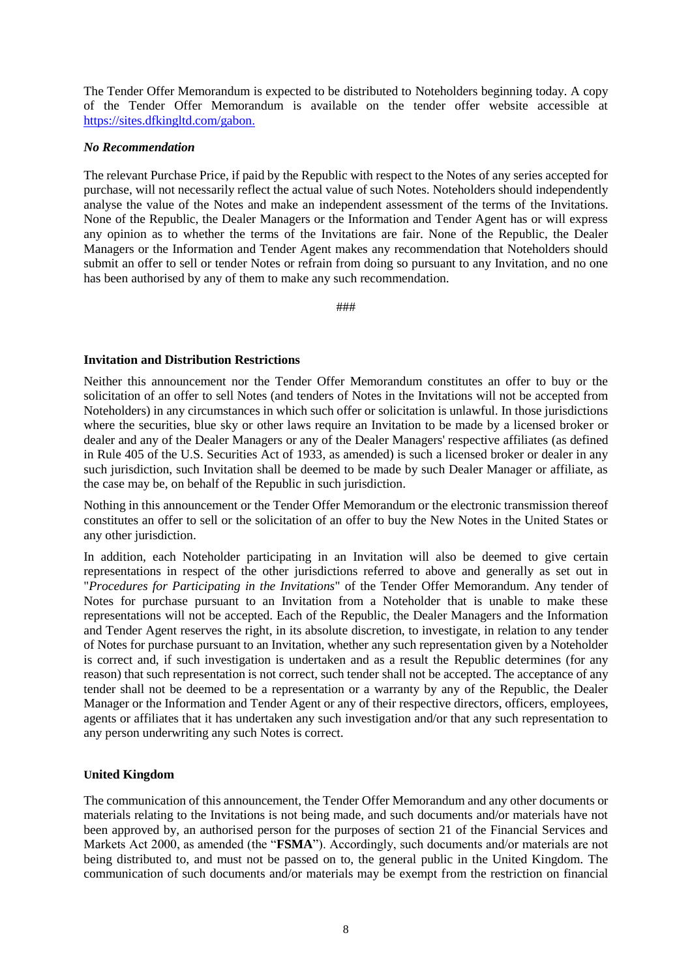The Tender Offer Memorandum is expected to be distributed to Noteholders beginning today. A copy of the Tender Offer Memorandum is available on the tender offer website accessible at [https://sites.dfkingltd.com/gabon.](https://sites.dfkingltd.com/gabon)

### *No Recommendation*

The relevant Purchase Price, if paid by the Republic with respect to the Notes of any series accepted for purchase, will not necessarily reflect the actual value of such Notes. Noteholders should independently analyse the value of the Notes and make an independent assessment of the terms of the Invitations. None of the Republic, the Dealer Managers or the Information and Tender Agent has or will express any opinion as to whether the terms of the Invitations are fair. None of the Republic, the Dealer Managers or the Information and Tender Agent makes any recommendation that Noteholders should submit an offer to sell or tender Notes or refrain from doing so pursuant to any Invitation, and no one has been authorised by any of them to make any such recommendation.

###

### **Invitation and Distribution Restrictions**

Neither this announcement nor the Tender Offer Memorandum constitutes an offer to buy or the solicitation of an offer to sell Notes (and tenders of Notes in the Invitations will not be accepted from Noteholders) in any circumstances in which such offer or solicitation is unlawful. In those jurisdictions where the securities, blue sky or other laws require an Invitation to be made by a licensed broker or dealer and any of the Dealer Managers or any of the Dealer Managers' respective affiliates (as defined in Rule 405 of the U.S. Securities Act of 1933, as amended) is such a licensed broker or dealer in any such jurisdiction, such Invitation shall be deemed to be made by such Dealer Manager or affiliate, as the case may be, on behalf of the Republic in such jurisdiction.

Nothing in this announcement or the Tender Offer Memorandum or the electronic transmission thereof constitutes an offer to sell or the solicitation of an offer to buy the New Notes in the United States or any other jurisdiction.

In addition, each Noteholder participating in an Invitation will also be deemed to give certain representations in respect of the other jurisdictions referred to above and generally as set out in "*Procedures for Participating in the Invitations*" of the Tender Offer Memorandum. Any tender of Notes for purchase pursuant to an Invitation from a Noteholder that is unable to make these representations will not be accepted. Each of the Republic, the Dealer Managers and the Information and Tender Agent reserves the right, in its absolute discretion, to investigate, in relation to any tender of Notes for purchase pursuant to an Invitation, whether any such representation given by a Noteholder is correct and, if such investigation is undertaken and as a result the Republic determines (for any reason) that such representation is not correct, such tender shall not be accepted. The acceptance of any tender shall not be deemed to be a representation or a warranty by any of the Republic, the Dealer Manager or the Information and Tender Agent or any of their respective directors, officers, employees, agents or affiliates that it has undertaken any such investigation and/or that any such representation to any person underwriting any such Notes is correct.

### **United Kingdom**

The communication of this announcement, the Tender Offer Memorandum and any other documents or materials relating to the Invitations is not being made, and such documents and/or materials have not been approved by, an authorised person for the purposes of section 21 of the Financial Services and Markets Act 2000, as amended (the "**FSMA**"). Accordingly, such documents and/or materials are not being distributed to, and must not be passed on to, the general public in the United Kingdom. The communication of such documents and/or materials may be exempt from the restriction on financial